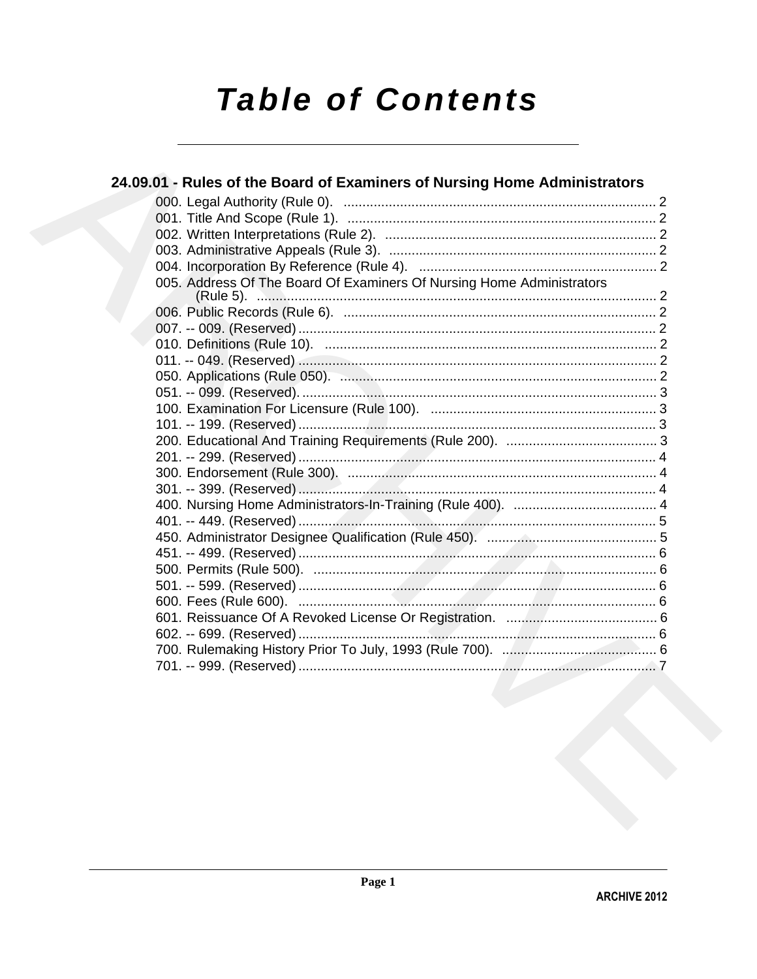# **Table of Contents**

| 24.09.01 - Rules of the Board of Examiners of Nursing Home Administrators                                       |  |
|-----------------------------------------------------------------------------------------------------------------|--|
|                                                                                                                 |  |
|                                                                                                                 |  |
|                                                                                                                 |  |
|                                                                                                                 |  |
|                                                                                                                 |  |
| 005. Address Of The Board Of Examiners Of Nursing Home Administrators                                           |  |
|                                                                                                                 |  |
|                                                                                                                 |  |
|                                                                                                                 |  |
|                                                                                                                 |  |
|                                                                                                                 |  |
|                                                                                                                 |  |
|                                                                                                                 |  |
|                                                                                                                 |  |
|                                                                                                                 |  |
|                                                                                                                 |  |
|                                                                                                                 |  |
|                                                                                                                 |  |
|                                                                                                                 |  |
|                                                                                                                 |  |
|                                                                                                                 |  |
|                                                                                                                 |  |
|                                                                                                                 |  |
|                                                                                                                 |  |
|                                                                                                                 |  |
|                                                                                                                 |  |
|                                                                                                                 |  |
| the contract of the contract of the contract of the contract of the contract of the contract of the contract of |  |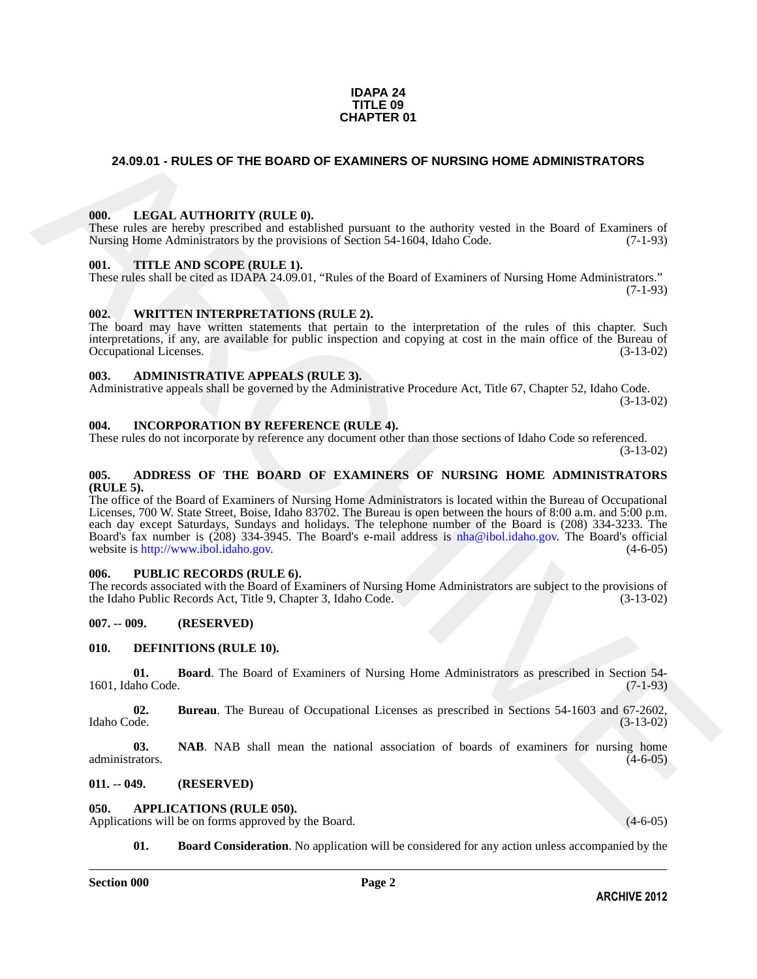### **IDAPA 24 TITLE 09 CHAPTER 01**

### <span id="page-1-0"></span>**24.09.01 - RULES OF THE BOARD OF EXAMINERS OF NURSING HOME ADMINISTRATORS**

### <span id="page-1-1"></span>**000. LEGAL AUTHORITY (RULE 0).**

These rules are hereby prescribed and established pursuant to the authority vested in the Board of Examiners of Nursing Home Administrators by the provisions of Section 54-1604, Idaho Code.  $(7-1-93)$ 

### <span id="page-1-2"></span>**001. TITLE AND SCOPE (RULE 1).**

These rules shall be cited as IDAPA 24.09.01, "Rules of the Board of Examiners of Nursing Home Administrators."  $(7-1-93)$ 

### <span id="page-1-3"></span>**002. WRITTEN INTERPRETATIONS (RULE 2).**

The board may have written statements that pertain to the interpretation of the rules of this chapter. Such interpretations, if any, are available for public inspection and copying at cost in the main office of the Bureau of Occupational Licenses. (3-13-02) Occupational Licenses.

### <span id="page-1-4"></span>**003. ADMINISTRATIVE APPEALS (RULE 3).**

Administrative appeals shall be governed by the Administrative Procedure Act, Title 67, Chapter 52, Idaho Code. (3-13-02)

### <span id="page-1-5"></span>**004. INCORPORATION BY REFERENCE (RULE 4).**

These rules do not incorporate by reference any document other than those sections of Idaho Code so referenced. (3-13-02)

### <span id="page-1-6"></span>**005. ADDRESS OF THE BOARD OF EXAMINERS OF NURSING HOME ADMINISTRATORS (RULE 5).**

**24.02.01 - RULES OF THE BOARD OF EXAMINERS OF NURSING HOME ADMINISTRATORS<br>
19.** LEGAL AITHORITY (BIT.E.D.<br>
There interest members are considered and relationship parameter to the unbetting vessel in the Board of Training The office of the Board of Examiners of Nursing Home Administrators is located within the Bureau of Occupational Licenses, 700 W. State Street, Boise, Idaho 83702. The Bureau is open between the hours of 8:00 a.m. and 5:00 p.m. each day except Saturdays, Sundays and holidays. The telephone number of the Board is (208) 334-3233. The Board's fax number is (208) 334-3945. The Board's e-mail address is nha@ibol.idaho.gov. The Board's official website is http://www.ibol.idaho.gov. (4-6-05) website is http://www.ibol.idaho.gov.

### <span id="page-1-7"></span>**006. PUBLIC RECORDS (RULE 6).**

The records associated with the Board of Examiners of Nursing Home Administrators are subject to the provisions of the Idaho Public Records Act, Title 9, Chapter 3, Idaho Code. (3-13-02) the Idaho Public Records Act, Title 9, Chapter 3, Idaho Code.

### <span id="page-1-8"></span>**007. -- 009. (RESERVED)**

### <span id="page-1-14"></span><span id="page-1-9"></span>**010. DEFINITIONS (RULE 10).**

<span id="page-1-15"></span>**01. Board**. The Board of Examiners of Nursing Home Administrators as prescribed in Section 54-<br>aho Code. (7-1-93) 1601, Idaho Code.

<span id="page-1-16"></span>**02.** Bureau. The Bureau of Occupational Licenses as prescribed in Sections 54-1603 and 67-2602, Idaho Code. (3-13-02) Idaho Code. (3-13-02)

<span id="page-1-17"></span>**03. NAB**. NAB shall mean the national association of boards of examiners for nursing home rators. (4-6-05) administrators.

### <span id="page-1-10"></span>**011. -- 049. (RESERVED)**

### <span id="page-1-12"></span><span id="page-1-11"></span>**050. APPLICATIONS (RULE 050).**

Applications will be on forms approved by the Board. (4-6-05) (4-6-05)

<span id="page-1-13"></span>**01. Board Consideration**. No application will be considered for any action unless accompanied by the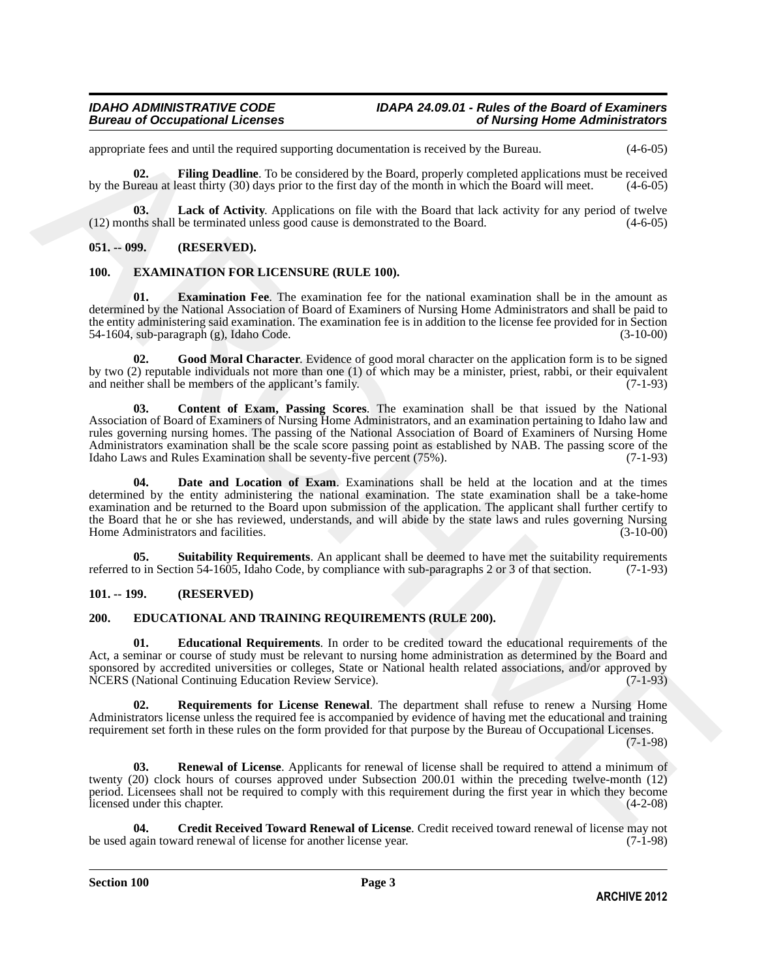### *Bureau of Occupational Licenses*

appropriate fees and until the required supporting documentation is received by the Bureau. (4-6-05)

<span id="page-2-4"></span>**02. Filing Deadline**. To be considered by the Board, properly completed applications must be received by the Bureau at least thirty (30) days prior to the first day of the month in which the Board will meet. (4-6-05)

<span id="page-2-5"></span>**03.** Lack of Activity. Applications on file with the Board that lack activity for any period of twelve the shall be terminated unless good cause is demonstrated to the Board. (4-6-05)  $(12)$  months shall be terminated unless good cause is demonstrated to the Board.

### <span id="page-2-0"></span>**051. -- 099. (RESERVED).**

### <span id="page-2-11"></span><span id="page-2-1"></span>**100. EXAMINATION FOR LICENSURE (RULE 100).**

<span id="page-2-14"></span>**01. Examination Fee**. The examination fee for the national examination shall be in the amount as determined by the National Association of Board of Examiners of Nursing Home Administrators and shall be paid to the entity administering said examination. The examination fee is in addition to the license fee provided for in Section 54-1604, sub-paragraph (g), Idaho Code. (3-10-00)

<span id="page-2-15"></span><span id="page-2-12"></span>**02. Good Moral Character**. Evidence of good moral character on the application form is to be signed by two (2) reputable individuals not more than one (1) of which may be a minister, priest, rabbi, or their equivalent and neither shall be members of the applicant's family. and neither shall be members of the applicant's family.

appendix for each of the bassimal engined supporting decomennation is reasonably the Barminal enginees and the bassimal particular the bassimal engine of the bassimal engine of the bassimal engine of the bassimal engine o **03. Content of Exam, Passing Scores**. The examination shall be that issued by the National Association of Board of Examiners of Nursing Home Administrators, and an examination pertaining to Idaho law and rules governing nursing homes. The passing of the National Association of Board of Examiners of Nursing Home Administrators examination shall be the scale score passing point as established by NAB. The passing score of the Idaho Laws and Rules Examination shall be seventy-five percent (75%). (7-1-93) Idaho Laws and Rules Examination shall be seventy-five percent  $(75%)$ .

<span id="page-2-13"></span>Date and Location of Exam. Examinations shall be held at the location and at the times determined by the entity administering the national examination. The state examination shall be a take-home examination and be returned to the Board upon submission of the application. The applicant shall further certify to the Board that he or she has reviewed, understands, and will abide by the state laws and rules governing Nursing<br>Home Administrators and facilities. (3-10-00) Home Administrators and facilities.

<span id="page-2-16"></span>**05.** Suitability Requirements. An applicant shall be deemed to have met the suitability requirements to in Section 54-1605, Idaho Code, by compliance with sub-paragraphs 2 or 3 of that section. (7-1-93) referred to in Section 54-1605, Idaho Code, by compliance with sub-paragraphs 2 or 3 of that section.

### <span id="page-2-6"></span><span id="page-2-2"></span>**101. -- 199. (RESERVED)**

### <span id="page-2-3"></span>**200. EDUCATIONAL AND TRAINING REQUIREMENTS (RULE 200).**

<span id="page-2-8"></span>**01. Educational Requirements**. In order to be credited toward the educational requirements of the Act, a seminar or course of study must be relevant to nursing home administration as determined by the Board and sponsored by accredited universities or colleges, State or National health related associations, and/or approved by NCERS (National Continuing Education Review Service). (7-1-93) NCERS (National Continuing Education Review Service).

<span id="page-2-10"></span>**02. Requirements for License Renewal**. The department shall refuse to renew a Nursing Home Administrators license unless the required fee is accompanied by evidence of having met the educational and training requirement set forth in these rules on the form provided for that purpose by the Bureau of Occupational Licenses.

(7-1-98)

<span id="page-2-9"></span>**03. Renewal of License**. Applicants for renewal of license shall be required to attend a minimum of twenty (20) clock hours of courses approved under Subsection 200.01 within the preceding twelve-month (12) period. Licensees shall not be required to comply with this requirement during the first year in which they become licensed under this chapter. (4-2-08)

<span id="page-2-7"></span>**Credit Received Toward Renewal of License**. Credit received toward renewal of license may not ard renewal of license for another license year. (7-1-98) be used again toward renewal of license for another license year.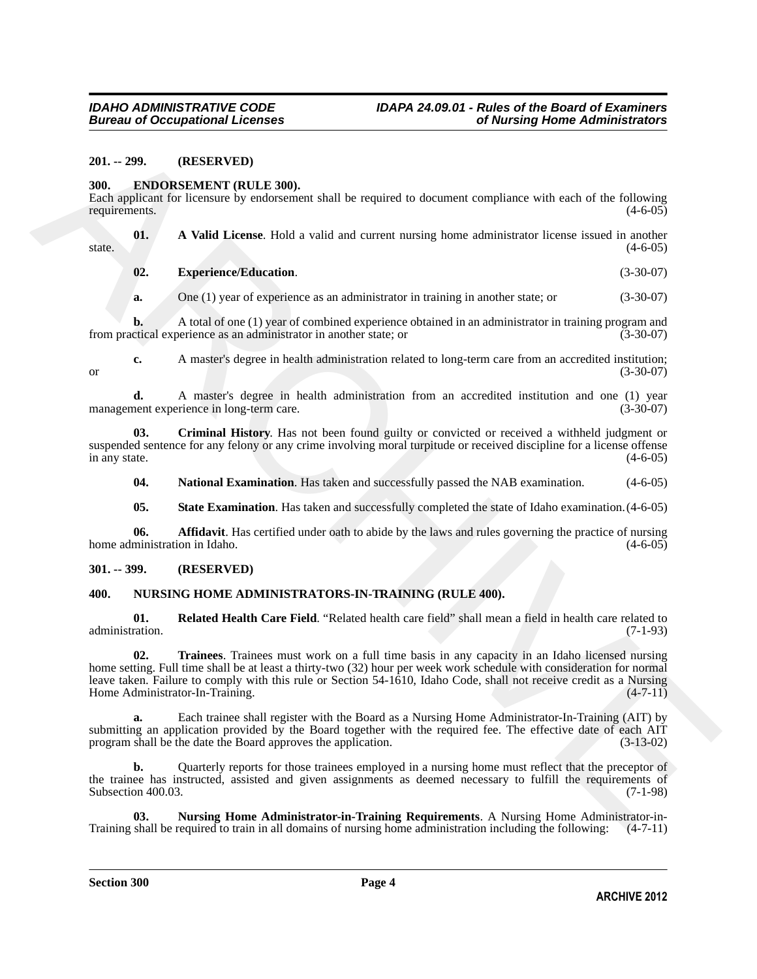### <span id="page-3-0"></span>**201. -- 299. (RESERVED)**

### <span id="page-3-4"></span><span id="page-3-1"></span>**300. ENDORSEMENT (RULE 300).**

Each applicant for licensure by endorsement shall be required to document compliance with each of the following requirements.

**01. A Valid License**. Hold a valid and current nursing home administrator license issued in another  $(4-6-05)$ 

<span id="page-3-8"></span><span id="page-3-5"></span>**02. Experience/Education**. (3-30-07)

**a.** One (1) year of experience as an administrator in training in another state; or (3-30-07)

**b.** A total of one (1) year of combined experience obtained in an administrator in training program and ctical experience as an administrator in another state; or (3-30-07) from practical experience as an administrator in another state; or

**c.** A master's degree in health administration related to long-term care from an accredited institution; or  $(3-30-07)$ 

**d.** A master's degree in health administration from an accredited institution and one (1) year nent experience in long-term care. (3-30-07) management experience in long-term care.

**03. Criminal History**. Has not been found guilty or convicted or received a withheld judgment or suspended sentence for any felony or any crime involving moral turpitude or received discipline for a license offense<br>in any state.  $(4-6-05)$ in any state.  $(4-6-05)$ 

<span id="page-3-9"></span><span id="page-3-7"></span>**04.** National Examination. Has taken and successfully passed the NAB examination. (4-6-05)

<span id="page-3-10"></span><span id="page-3-6"></span>**05.** State Examination. Has taken and successfully completed the state of Idaho examination.  $(4-6-05)$ 

**06. Affidavit**. Has certified under oath to abide by the laws and rules governing the practice of nursing ministration in Idaho. (4-6-05) home administration in Idaho.

### <span id="page-3-2"></span>**301. -- 399. (RESERVED)**

### <span id="page-3-13"></span><span id="page-3-11"></span><span id="page-3-3"></span>**400. NURSING HOME ADMINISTRATORS-IN-TRAINING (RULE 400).**

<span id="page-3-14"></span>**01. Related Health Care Field**. "Related health care field" shall mean a field in health care related to administration.

201. - 299. (RESERVED)<br>
300. **ENDORS DECISION COLLECTANTS**<br>
300. **ENDORS DECISION COLLECTANTS**<br>
Function Explicit Collection and the required to decrease compliance with each of the following<br>
Function Collection and Lemm **02. Trainees**. Trainees must work on a full time basis in any capacity in an Idaho licensed nursing home setting. Full time shall be at least a thirty-two (32) hour per week work schedule with consideration for normal leave taken. Failure to comply with this rule or Section 54-1610, Idaho Code, shall not receive credit as a Nursing Home Administrator-In-Training. (4-7-11)

**a.** Each trainee shall register with the Board as a Nursing Home Administrator-In-Training (AIT) by submitting an application provided by the Board together with the required fee. The effective date of each AIT program shall be the date the Board approves the application. (3-13-02)

**b.** Quarterly reports for those trainees employed in a nursing home must reflect that the preceptor of the trainee has instructed, assisted and given assignments as deemed necessary to fulfill the requirements of Subsection 400.03. (7-1-98) Subsection 400.03.

<span id="page-3-12"></span>**03. Nursing Home Administrator-in-Training Requirements**. A Nursing Home Administrator-in-<br>shall be required to train in all domains of nursing home administration including the following: (4-7-11) Training shall be required to train in all domains of nursing home administration including the following: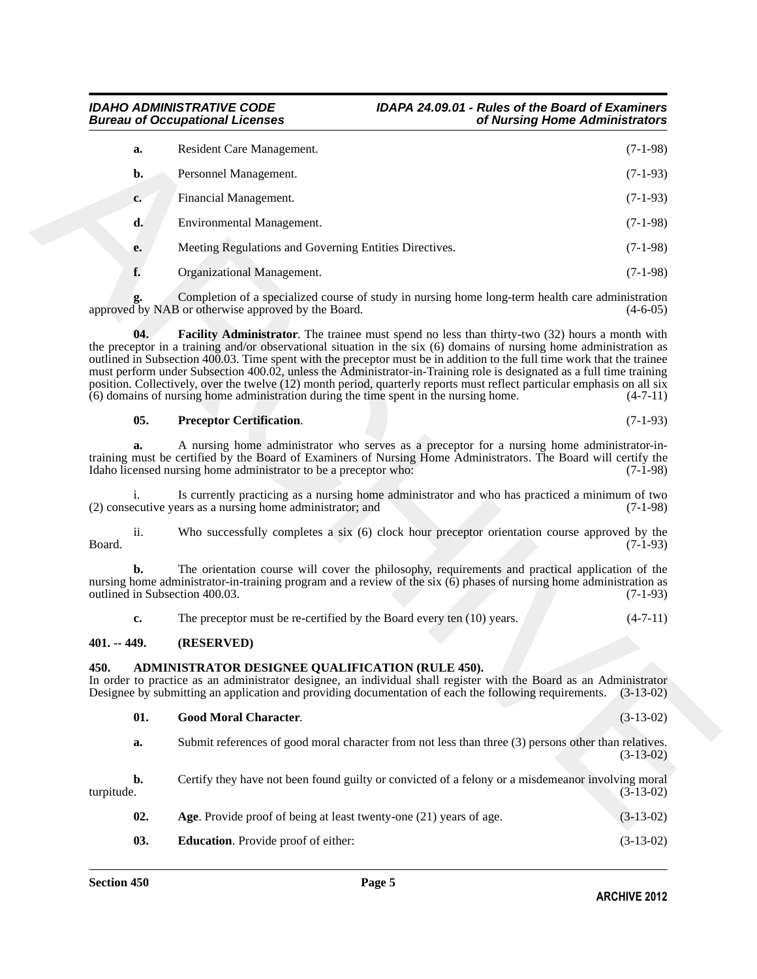### **Bureau of Occupational Licenses**

## *IDAHO ADMINISTRATIVE CODE IDAPA 24.09.01 - Rules of the Board of Examiners*

| a.                                   |     | Resident Care Management.                                                                                                                                                                                                                                                                                                                                                                                                                                                                                                                                                                                                                                                                                | $(7-1-98)$  |
|--------------------------------------|-----|----------------------------------------------------------------------------------------------------------------------------------------------------------------------------------------------------------------------------------------------------------------------------------------------------------------------------------------------------------------------------------------------------------------------------------------------------------------------------------------------------------------------------------------------------------------------------------------------------------------------------------------------------------------------------------------------------------|-------------|
| b.                                   |     | Personnel Management.                                                                                                                                                                                                                                                                                                                                                                                                                                                                                                                                                                                                                                                                                    | $(7-1-93)$  |
| c.                                   |     | Financial Management.                                                                                                                                                                                                                                                                                                                                                                                                                                                                                                                                                                                                                                                                                    | $(7-1-93)$  |
| d.                                   |     | Environmental Management.                                                                                                                                                                                                                                                                                                                                                                                                                                                                                                                                                                                                                                                                                | $(7-1-98)$  |
| е.                                   |     | Meeting Regulations and Governing Entities Directives.                                                                                                                                                                                                                                                                                                                                                                                                                                                                                                                                                                                                                                                   | $(7-1-98)$  |
| f.                                   |     | Organizational Management.                                                                                                                                                                                                                                                                                                                                                                                                                                                                                                                                                                                                                                                                               | $(7-1-98)$  |
|                                      |     | Completion of a specialized course of study in nursing home long-term health care administration<br>approved by NAB or otherwise approved by the Board.                                                                                                                                                                                                                                                                                                                                                                                                                                                                                                                                                  | $(4-6-05)$  |
|                                      | 04. | <b>Facility Administrator</b> . The trainee must spend no less than thirty-two (32) hours a month with<br>the preceptor in a training and/or observational situation in the six (6) domains of nursing home administration as<br>outlined in Subsection 400.03. Time spent with the preceptor must be in addition to the full time work that the trainee<br>must perform under Subsection 400.02, unless the Administrator-in-Training role is designated as a full time training<br>position. Collectively, over the twelve (12) month period, quarterly reports must reflect particular emphasis on all six<br>$(6)$ domains of nursing home administration during the time spent in the nursing home. | $(4-7-11)$  |
|                                      | 05. | <b>Preceptor Certification.</b>                                                                                                                                                                                                                                                                                                                                                                                                                                                                                                                                                                                                                                                                          | $(7-1-93)$  |
| a.                                   |     | A nursing home administrator who serves as a preceptor for a nursing home administrator-in-<br>training must be certified by the Board of Examiners of Nursing Home Administrators. The Board will certify the<br>Idaho licensed nursing home administrator to be a preceptor who:                                                                                                                                                                                                                                                                                                                                                                                                                       | $(7-1-98)$  |
| i.                                   |     | Is currently practicing as a nursing home administrator and who has practiced a minimum of two<br>(2) consecutive years as a nursing home administrator; and                                                                                                                                                                                                                                                                                                                                                                                                                                                                                                                                             | $(7-1-98)$  |
| $\overline{\mathbf{11}}$ .<br>Board. |     | Who successfully completes a six (6) clock hour preceptor orientation course approved by the                                                                                                                                                                                                                                                                                                                                                                                                                                                                                                                                                                                                             | $(7-1-93)$  |
| b.                                   |     | The orientation course will cover the philosophy, requirements and practical application of the<br>nursing home administrator-in-training program and a review of the six $(6)$ phases of nursing home administration as<br>outlined in Subsection 400.03.                                                                                                                                                                                                                                                                                                                                                                                                                                               | $(7-1-93)$  |
| c.                                   |     | The preceptor must be re-certified by the Board every ten $(10)$ years.                                                                                                                                                                                                                                                                                                                                                                                                                                                                                                                                                                                                                                  | $(4-7-11)$  |
| $401. -449.$                         |     | (RESERVED)                                                                                                                                                                                                                                                                                                                                                                                                                                                                                                                                                                                                                                                                                               |             |
| 450.                                 |     | ADMINISTRATOR DESIGNEE QUALIFICATION (RULE 450).<br>In order to practice as an administrator designee, an individual shall register with the Board as an Administrator<br>Designee by submitting an application and providing documentation of each the following requirements. (3-13-02)                                                                                                                                                                                                                                                                                                                                                                                                                |             |
|                                      | 01. | <b>Good Moral Character.</b>                                                                                                                                                                                                                                                                                                                                                                                                                                                                                                                                                                                                                                                                             | $(3-13-02)$ |
| a.                                   |     | Submit references of good moral character from not less than three (3) persons other than relatives.                                                                                                                                                                                                                                                                                                                                                                                                                                                                                                                                                                                                     | $(3-13-02)$ |
| b.<br>turpitude.                     |     | Certify they have not been found guilty or convicted of a felony or a misdemeanor involving moral                                                                                                                                                                                                                                                                                                                                                                                                                                                                                                                                                                                                        | $(3-13-02)$ |
|                                      | 02. | Age. Provide proof of being at least twenty-one (21) years of age.                                                                                                                                                                                                                                                                                                                                                                                                                                                                                                                                                                                                                                       | $(3-13-02)$ |

### <span id="page-4-7"></span><span id="page-4-6"></span>**05. Preceptor Certification**. (7-1-93)

### <span id="page-4-0"></span>**401. -- 449. (RESERVED)**

### <span id="page-4-2"></span><span id="page-4-1"></span>**450. ADMINISTRATOR DESIGNEE QUALIFICATION (RULE 450).**

<span id="page-4-5"></span>

|            | 01. | <b>Good Moral Character.</b>                                                                         | $(3-13-02)$ |
|------------|-----|------------------------------------------------------------------------------------------------------|-------------|
|            | а.  | Submit references of good moral character from not less than three (3) persons other than relatives. | $(3-13-02)$ |
| turpitude. | b.  | Certify they have not been found guilty or convicted of a felony or a misdemeanor involving moral    | $(3-13-02)$ |
|            | 02. | Age. Provide proof of being at least twenty-one (21) years of age.                                   | $(3-13-02)$ |

<span id="page-4-4"></span><span id="page-4-3"></span>**03. Education**. Provide proof of either: (3-13-02)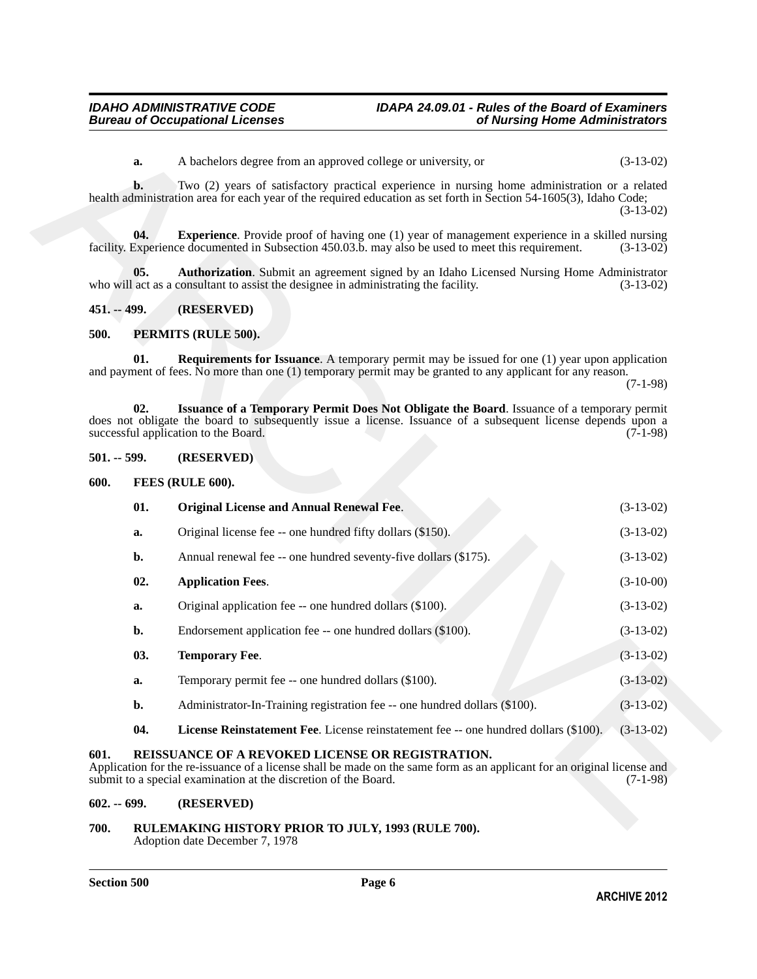### <span id="page-5-8"></span><span id="page-5-7"></span><span id="page-5-0"></span>**451. -- 499. (RESERVED)**

### <span id="page-5-16"></span><span id="page-5-14"></span><span id="page-5-1"></span>**500. PERMITS (RULE 500).**

### <span id="page-5-15"></span><span id="page-5-9"></span><span id="page-5-2"></span>**501. -- 599. (RESERVED)**

<span id="page-5-12"></span><span id="page-5-3"></span>

| 01. | <b>Original License and Annual Renewal Fee.</b>                 | $(3-13-02)$ |
|-----|-----------------------------------------------------------------|-------------|
| а.  | Original license fee -- one hundred fifty dollars (\$150).      | $(3-13-02)$ |
|     | Annual renewal fee -- one hundred seventy-five dollars (\$175). | $(3-13-02)$ |

### <span id="page-5-10"></span>**02. Application Fees**. (3-10-00)

|               | a.    | A bachelors degree from an approved college or university, or                                                                                                                                                                                      | $(3-13-02)$ |
|---------------|-------|----------------------------------------------------------------------------------------------------------------------------------------------------------------------------------------------------------------------------------------------------|-------------|
|               | b.    | Two (2) years of satisfactory practical experience in nursing home administration or a related<br>health administration area for each year of the required education as set forth in Section 54-1605(3), Idaho Code;                               | $(3-13-02)$ |
|               | 04.   | <b>Experience</b> . Provide proof of having one (1) year of management experience in a skilled nursing<br>facility. Experience documented in Subsection 450.03.b. may also be used to meet this requirement.                                       | $(3-13-02)$ |
|               | 05.   | Authorization. Submit an agreement signed by an Idaho Licensed Nursing Home Administrator<br>who will act as a consultant to assist the designee in administrating the facility.                                                                   | $(3-13-02)$ |
| 451. -- 499.  |       | (RESERVED)                                                                                                                                                                                                                                         |             |
| 500.          |       | PERMITS (RULE 500).                                                                                                                                                                                                                                |             |
|               | 01.   | <b>Requirements for Issuance</b> . A temporary permit may be issued for one (1) year upon application<br>and payment of fees. No more than one (1) temporary permit may be granted to any applicant for any reason.                                | $(7-1-98)$  |
|               | 02.   | Issuance of a Temporary Permit Does Not Obligate the Board. Issuance of a temporary permit<br>does not obligate the board to subsequently issue a license. Issuance of a subsequent license depends upon a<br>successful application to the Board. | $(7-1-98)$  |
| $501. - 599.$ |       | (RESERVED)                                                                                                                                                                                                                                         |             |
| 600.          |       | FEES (RULE 600).                                                                                                                                                                                                                                   |             |
|               | 01.   | <b>Original License and Annual Renewal Fee.</b>                                                                                                                                                                                                    | $(3-13-02)$ |
|               | a.    | Original license fee -- one hundred fifty dollars (\$150).                                                                                                                                                                                         | $(3-13-02)$ |
|               | b.    | Annual renewal fee -- one hundred seventy-five dollars (\$175).                                                                                                                                                                                    | $(3-13-02)$ |
|               | 02.   | <b>Application Fees.</b>                                                                                                                                                                                                                           | $(3-10-00)$ |
|               | a.    | Original application fee -- one hundred dollars (\$100).                                                                                                                                                                                           | $(3-13-02)$ |
|               | b.    | Endorsement application fee -- one hundred dollars (\$100).                                                                                                                                                                                        | $(3-13-02)$ |
|               | 03.   | <b>Temporary Fee.</b>                                                                                                                                                                                                                              | $(3-13-02)$ |
|               | a.    | Temporary permit fee -- one hundred dollars (\$100).                                                                                                                                                                                               | $(3-13-02)$ |
|               | $b$ . | Administrator-In-Training registration fee -- one hundred dollars (\$100).                                                                                                                                                                         | $(3-13-02)$ |
|               | 04.   | License Reinstatement Fee. License reinstatement fee -- one hundred dollars (\$100).                                                                                                                                                               | $(3-13-02)$ |
|               |       | REISSUANCE OF A REVOKED LICENSE OR REGISTRATION.<br>Application for the re-issuance of a license shall be made on the same form as an applicant for an original license and                                                                        |             |
| 601.          |       | submit to a special examination at the discretion of the Board.                                                                                                                                                                                    | $(7-1-98)$  |

- <span id="page-5-13"></span><span id="page-5-11"></span>**b.** Administrator-In-Training registration fee -- one hundred dollars (\$100). (3-13-02)
- <span id="page-5-17"></span>**04. License Reinstatement Fee**. License reinstatement fee -- one hundred dollars (\$100). (3-13-02)

### <span id="page-5-4"></span>**601. REISSUANCE OF A REVOKED LICENSE OR REGISTRATION.**

### <span id="page-5-5"></span>**602. -- 699. (RESERVED)**

<span id="page-5-6"></span>**700. RULEMAKING HISTORY PRIOR TO JULY, 1993 (RULE 700).** Adoption date December 7, 1978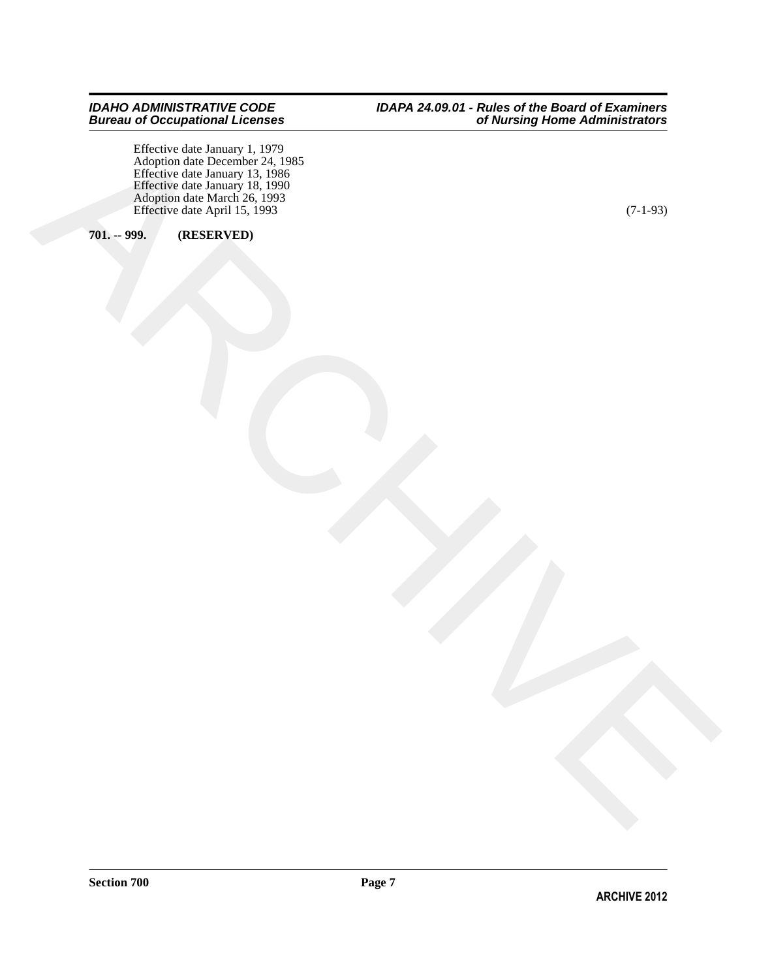$\begin{picture}(100,100) \put(0,0){\line(1,0){100}} \put(10,0){\line(1,0){100}} \put(10,0){\line(1,0){100}} \put(10,0){\line(1,0){100}} \put(10,0){\line(1,0){100}} \put(10,0){\line(1,0){100}} \put(10,0){\line(1,0){100}} \put(10,0){\line(1,0){100}} \put(10,0){\line(1,0){100}} \put(10,0){\line(1,0){100}} \put(10,0){\line(1,0){100$ Effective date January 1, 1979 Adoption date December 24, 1985 Effective date January 13, 1986 Effective date January 18, 1990 Adoption date March 26, 1993 Effective date April 15, 1993 (7-1-93)

### <span id="page-6-0"></span>**701. -- 999. (RESERVED)**